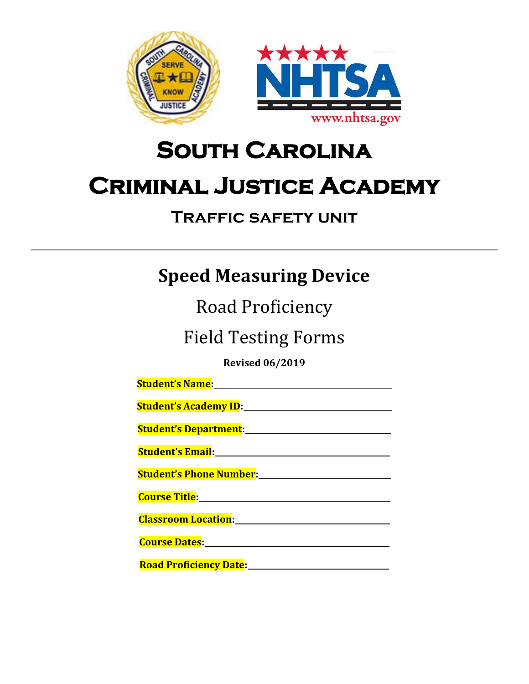

# **South Carolina Criminal Justice Academy**

## **Traffic safety unit**

# **Speed Measuring Device**

Road Proficiency

Field Testing Forms

**Revised 06/2019**

| <b>Student's Academy ID:</b> Name of the Student's Academy ID:                                                        |
|-----------------------------------------------------------------------------------------------------------------------|
|                                                                                                                       |
| <b>Student's Email:</b> National Property of the Student's Sensitive Student's Student Student                        |
| <b>Student's Phone Number:</b> Name of Allen Management of Allen Management of Allen Management of Allen Management o |
| <b>Course Title: Example 2016</b>                                                                                     |
| <b>Classroom Location:</b>                                                                                            |
| Course Dates: 2008                                                                                                    |
| ________________                                                                                                      |

**Road Proficiency Date:**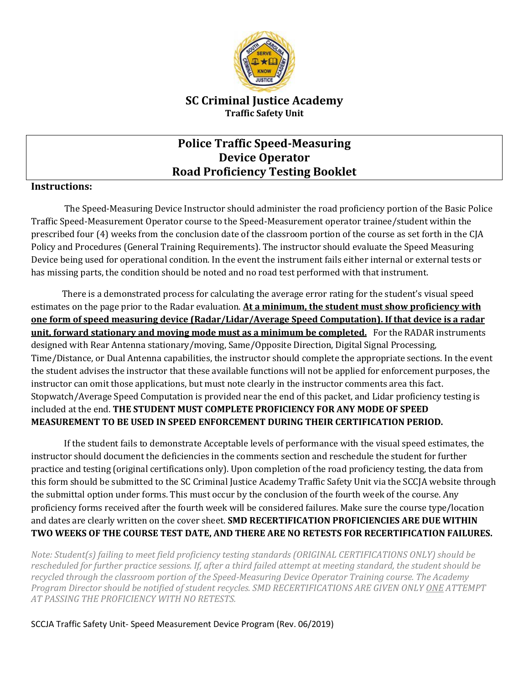

#### **SC Criminal Justice Academy Traffic Safety Unit**

### **Police Traffic Speed-Measuring Device Operator Road Proficiency Testing Booklet**

#### **Instructions:**

The Speed-Measuring Device Instructor should administer the road proficiency portion of the Basic Police Traffic Speed-Measurement Operator course to the Speed-Measurement operator trainee/student within the prescribed four (4) weeks from the conclusion date of the classroom portion of the course as set forth in the CJA Policy and Procedures (General Training Requirements). The instructor should evaluate the Speed Measuring Device being used for operational condition. In the event the instrument fails either internal or external tests or has missing parts, the condition should be noted and no road test performed with that instrument.

There is a demonstrated process for calculating the average error rating for the student's visual speed estimates on the page prior to the Radar evaluation. **At a minimum, the student must show proficiency with one form of speed measuring device (Radar/Lidar/Average Speed Computation). If that device is a radar unit, forward stationary and moving mode must as a minimum be completed.** For the RADAR instruments designed with Rear Antenna stationary/moving, Same/Opposite Direction, Digital Signal Processing, Time/Distance, or Dual Antenna capabilities, the instructor should complete the appropriate sections. In the event the student advises the instructor that these available functions will not be applied for enforcement purposes, the instructor can omit those applications, but must note clearly in the instructor comments area this fact. Stopwatch/Average Speed Computation is provided near the end of this packet, and Lidar proficiency testing is included at the end. **THE STUDENT MUST COMPLETE PROFICIENCY FOR ANY MODE OF SPEED MEASUREMENT TO BE USED IN SPEED ENFORCEMENT DURING THEIR CERTIFICATION PERIOD.**

If the student fails to demonstrate Acceptable levels of performance with the visual speed estimates, the instructor should document the deficiencies in the comments section and reschedule the student for further practice and testing (original certifications only). Upon completion of the road proficiency testing, the data from this form should be submitted to the SC Criminal Justice Academy Traffic Safety Unit via the SCCJA website through the submittal option under forms. This must occur by the conclusion of the fourth week of the course. Any proficiency forms received after the fourth week will be considered failures. Make sure the course type/location and dates are clearly written on the cover sheet. **SMD RECERTIFICATION PROFICIENCIES ARE DUE WITHIN TWO WEEKS OF THE COURSE TEST DATE, AND THERE ARE NO RETESTS FOR RECERTIFICATION FAILURES.**

*Note: Student(s) failing to meet field proficiency testing standards (ORIGINAL CERTIFICATIONS ONLY) should be rescheduled for further practice sessions. If, after a third failed attempt at meeting standard, the student should be recycled through the classroom portion of the Speed-Measuring Device Operator Training course. The Academy Program Director should be notified of student recycles. SMD RECERTIFICATIONS ARE GIVEN ONLY ONE ATTEMPT AT PASSING THE PROFICIENCY WITH NO RETESTS.*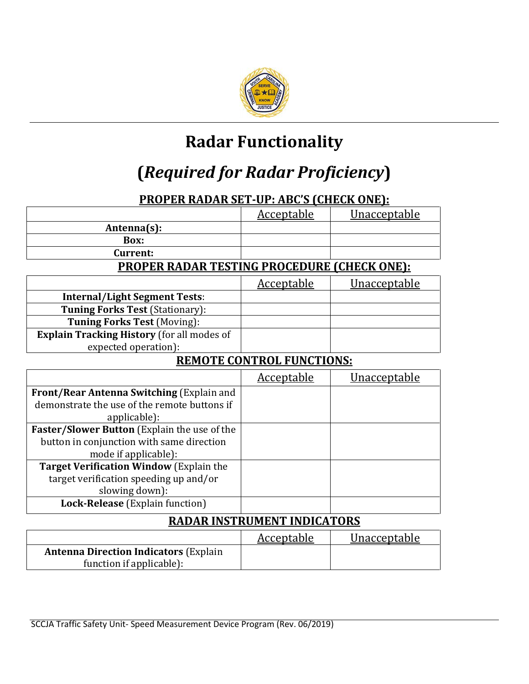

# **Radar Functionality**

# **(***Required for Radar Proficiency***)**

### **PROPER RADAR SET-UP: ABC'S (CHECK ONE):**

|                                                    | <b>Acceptable</b> | <u>Unacceptable</u> |  |  |  |
|----------------------------------------------------|-------------------|---------------------|--|--|--|
| Antenna(s):                                        |                   |                     |  |  |  |
| Box:                                               |                   |                     |  |  |  |
| Current:                                           |                   |                     |  |  |  |
| <b>PROPER RADAR TESTING PROCEDURE (CHECK ONE):</b> |                   |                     |  |  |  |
|                                                    | <u>Acceptable</u> | <u>Unacceptable</u> |  |  |  |
| <b>Internal/Light Segment Tests:</b>               |                   |                     |  |  |  |
| <b>Tuning Forks Test (Stationary):</b>             |                   |                     |  |  |  |
| <b>Tuning Forks Test (Moving):</b>                 |                   |                     |  |  |  |
| <b>Explain Tracking History</b> (for all modes of  |                   |                     |  |  |  |
| expected operation):                               |                   |                     |  |  |  |
| <b>REMOTE CONTROL FUNCTIONS:</b>                   |                   |                     |  |  |  |
|                                                    |                   |                     |  |  |  |
|                                                    | <b>Acceptable</b> | <u>Unacceptable</u> |  |  |  |
| Front/Rear Antenna Switching (Explain and          |                   |                     |  |  |  |
| demonstrate the use of the remote buttons if       |                   |                     |  |  |  |
| applicable):                                       |                   |                     |  |  |  |
| Faster/Slower Button (Explain the use of the       |                   |                     |  |  |  |
| button in conjunction with same direction          |                   |                     |  |  |  |
| mode if applicable):                               |                   |                     |  |  |  |
| <b>Target Verification Window (Explain the</b>     |                   |                     |  |  |  |
| target verification speeding up and/or             |                   |                     |  |  |  |
| slowing down):                                     |                   |                     |  |  |  |
| Lock-Release (Explain function)                    |                   |                     |  |  |  |

|                                               | Acceptable | Unacceptable |
|-----------------------------------------------|------------|--------------|
| <b>Antenna Direction Indicators (Explain)</b> |            |              |
| function if applicable):                      |            |              |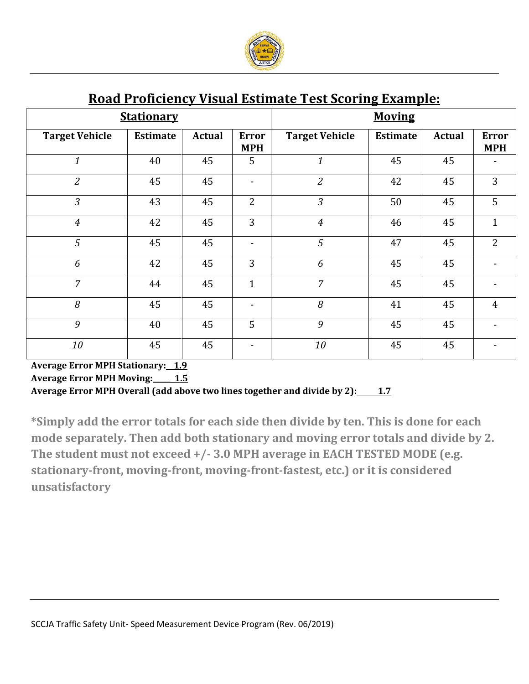

| $\cdots$ $\cdots$ $\cdots$ $\cdots$ $\cdots$<br><u>. 150. 22 poetas</u><br>$\sim$ 000 000 $\sim$ 000 $\sim$<br><u> HAMAA DI CI</u> |                 |        |                            |                       |                 |        |                            |
|------------------------------------------------------------------------------------------------------------------------------------|-----------------|--------|----------------------------|-----------------------|-----------------|--------|----------------------------|
| <b>Stationary</b>                                                                                                                  |                 |        |                            | <b>Moving</b>         |                 |        |                            |
| <b>Target Vehicle</b>                                                                                                              | <b>Estimate</b> | Actual | <b>Error</b><br><b>MPH</b> | <b>Target Vehicle</b> | <b>Estimate</b> | Actual | <b>Error</b><br><b>MPH</b> |
| $\mathbf{1}$                                                                                                                       | 40              | 45     | 5                          | $\mathbf{1}$          | 45              | 45     |                            |
| $\overline{2}$                                                                                                                     | 45              | 45     |                            | $\overline{2}$        | 42              | 45     | 3                          |
| $\overline{3}$                                                                                                                     | 43              | 45     | $\overline{2}$             | $\mathfrak{Z}$        | 50              | 45     | 5                          |
| $\overline{4}$                                                                                                                     | 42              | 45     | 3                          | $\overline{4}$        | 46              | 45     | $\mathbf{1}$               |
| 5                                                                                                                                  | 45              | 45     |                            | 5                     | 47              | 45     | $\overline{2}$             |
| 6                                                                                                                                  | 42              | 45     | 3                          | 6                     | 45              | 45     |                            |
| $\overline{7}$                                                                                                                     | 44              | 45     | $\mathbf{1}$               | $\overline{7}$        | 45              | 45     |                            |
| 8                                                                                                                                  | 45              | 45     | $\overline{\phantom{a}}$   | 8                     | 41              | 45     | $\overline{4}$             |
| 9                                                                                                                                  | 40              | 45     | 5                          | 9                     | 45              | 45     |                            |
| 10                                                                                                                                 | 45              | 45     |                            | 10                    | 45              | 45     |                            |

### **Road Proficiency Visual Estimate Test Scoring Example:**

**Average Error MPH Stationary:\_ 1.9 Average Error MPH Moving:\_\_\_\_\_ 1.5** Average Error MPH Overall (add above two lines together and divide by 2): 1.7

**\*Simply add the error totals for each side then divide by ten. This is done for each mode separately. Then add both stationary and moving error totals and divide by 2. The student must not exceed +/- 3.0 MPH average in EACH TESTED MODE (e.g. stationary-front, moving-front, moving-front-fastest, etc.) or it is considered unsatisfactory**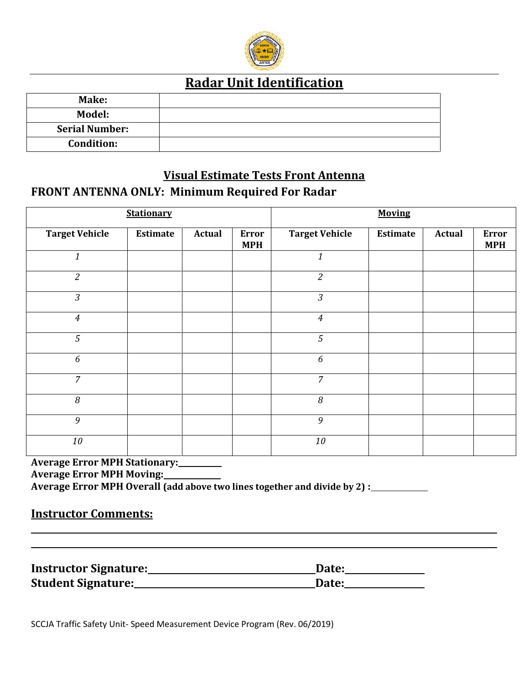

### **Radar Unit Identification**

| Make:                 |  |
|-----------------------|--|
| Model:                |  |
| <b>Serial Number:</b> |  |
| <b>Condition:</b>     |  |

### **Visual Estimate Tests Front Antenna FRONT ANTENNA ONLY: Minimum Required For Radar**

| <b>Stationary</b>     |          |               | <b>Moving</b>              |                       |          |               |                            |
|-----------------------|----------|---------------|----------------------------|-----------------------|----------|---------------|----------------------------|
| <b>Target Vehicle</b> | Estimate | <b>Actual</b> | <b>Error</b><br><b>MPH</b> | <b>Target Vehicle</b> | Estimate | <b>Actual</b> | <b>Error</b><br><b>MPH</b> |
| $\it 1$               |          |               |                            | $\boldsymbol{1}$      |          |               |                            |
| $\overline{2}$        |          |               |                            | $\overline{c}$        |          |               |                            |
| $\mathfrak{Z}$        |          |               |                            | $\mathfrak{Z}$        |          |               |                            |
| $\overline{4}$        |          |               |                            | $\boldsymbol{4}$      |          |               |                            |
| 5                     |          |               |                            | $\overline{5}$        |          |               |                            |
| $\boldsymbol{6}$      |          |               |                            | 6                     |          |               |                            |
| $\overline{7}$        |          |               |                            | $\overline{7}$        |          |               |                            |
| 8                     |          |               |                            | 8                     |          |               |                            |
| 9                     |          |               |                            | 9                     |          |               |                            |
| 10                    |          |               |                            | 10                    |          |               |                            |

### **Average Error MPH Stationary:**

**Average Error MPH Moving:** 

**Average Error MPH Overall (add above two lines together and divide by 2) :** 

#### **Instructor Comments:**

| <b>Instructor Signature:</b> | Date: |
|------------------------------|-------|
| <b>Student Signature:</b>    | Date: |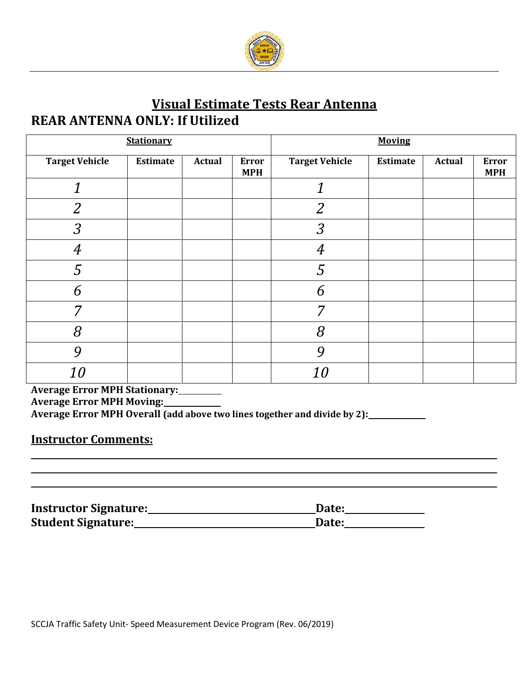

### **Visual Estimate Tests Rear Antenna REAR ANTENNA ONLY: If Utilized**

| <b>Stationary</b>     |          |               | <b>Moving</b>              |                       |                 |               |                            |
|-----------------------|----------|---------------|----------------------------|-----------------------|-----------------|---------------|----------------------------|
| <b>Target Vehicle</b> | Estimate | <b>Actual</b> | <b>Error</b><br><b>MPH</b> | <b>Target Vehicle</b> | <b>Estimate</b> | <b>Actual</b> | <b>Error</b><br><b>MPH</b> |
| 1                     |          |               |                            |                       |                 |               |                            |
| $\overline{2}$        |          |               |                            | $\overline{2}$        |                 |               |                            |
| $\mathfrak{Z}$        |          |               |                            | $\mathfrak{Z}$        |                 |               |                            |
| $\overline{4}$        |          |               |                            | 4                     |                 |               |                            |
| 5                     |          |               |                            | $\overline{5}$        |                 |               |                            |
| 6                     |          |               |                            | 6                     |                 |               |                            |
| 7                     |          |               |                            | 7                     |                 |               |                            |
| 8                     |          |               |                            | 8                     |                 |               |                            |
| 9                     |          |               |                            | 9                     |                 |               |                            |
| 10                    |          |               |                            | <i>10</i>             |                 |               |                            |

**Average Error MPH Stationary:** 

**Average Error MPH Moving:** 

**Average Error MPH Overall (add above two lines together and divide by 2):** 

#### **Instructor Comments:**

| <b>Instructor Signature:</b> | Date: |
|------------------------------|-------|
| <b>Student Signature:</b>    | Date: |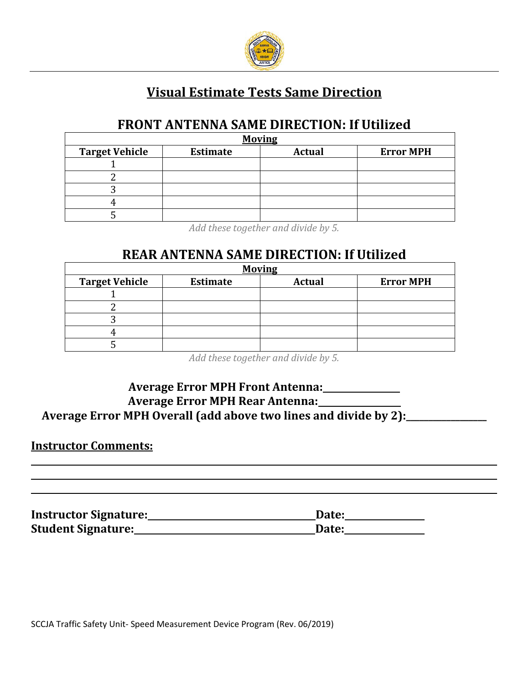

### **Visual Estimate Tests Same Direction**

### **FRONT ANTENNA SAME DIRECTION: If Utilized**

| <b>Moving</b>         |                 |               |                  |  |  |  |
|-----------------------|-----------------|---------------|------------------|--|--|--|
| <b>Target Vehicle</b> | <b>Estimate</b> | <b>Actual</b> | <b>Error MPH</b> |  |  |  |
|                       |                 |               |                  |  |  |  |
|                       |                 |               |                  |  |  |  |
|                       |                 |               |                  |  |  |  |
|                       |                 |               |                  |  |  |  |
|                       |                 |               |                  |  |  |  |

*Add these together and divide by 5.*

### **REAR ANTENNA SAME DIRECTION: If Utilized**

| <b>Moving</b>         |                 |               |                  |  |  |  |
|-----------------------|-----------------|---------------|------------------|--|--|--|
| <b>Target Vehicle</b> | <b>Estimate</b> | <b>Actual</b> | <b>Error MPH</b> |  |  |  |
|                       |                 |               |                  |  |  |  |
|                       |                 |               |                  |  |  |  |
|                       |                 |               |                  |  |  |  |
|                       |                 |               |                  |  |  |  |
|                       |                 |               |                  |  |  |  |

*Add these together and divide by 5.*

### **Average Error MPH Front Antenna:**

### **Average Error MPH Rear Antenna:**

### **Average Error MPH Overall (add above two lines and divide by 2):\_\_\_\_\_\_\_\_\_\_\_\_\_\_\_\_\_\_**

#### **Instructor Comments:**

Instructor Signature: Date: Date: **Student Signature: Date: Date: Date: Date: Date: Date: Date: Date: Date: Date: Date: Date: Date: Date: Date: Date: Date: Date: Date: Date: Date: Date: Date: Date: Date:**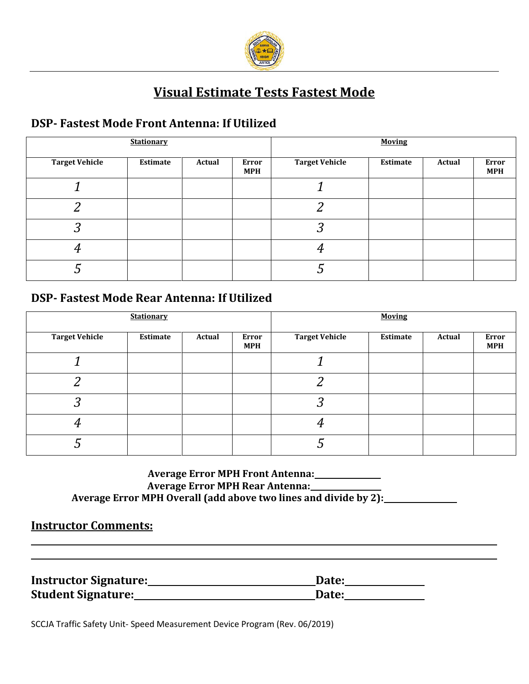

### **Visual Estimate Tests Fastest Mode**

### **DSP- Fastest Mode Front Antenna: If Utilized**

| <b>Stationary</b>     |          |        | <b>Moving</b>       |                       |          |        |                            |
|-----------------------|----------|--------|---------------------|-----------------------|----------|--------|----------------------------|
| <b>Target Vehicle</b> | Estimate | Actual | Error<br><b>MPH</b> | <b>Target Vehicle</b> | Estimate | Actual | <b>Error</b><br><b>MPH</b> |
|                       |          |        |                     |                       |          |        |                            |
| ົ                     |          |        |                     | റ<br>∠                |          |        |                            |
| 3                     |          |        |                     | 3                     |          |        |                            |
|                       |          |        |                     |                       |          |        |                            |
|                       |          |        |                     |                       |          |        |                            |

### **DSP- Fastest Mode Rear Antenna: If Utilized**

|                       | <b>Stationary</b> |        |                            |                       | <b>Moving</b> |        |                     |
|-----------------------|-------------------|--------|----------------------------|-----------------------|---------------|--------|---------------------|
| <b>Target Vehicle</b> | Estimate          | Actual | <b>Error</b><br><b>MPH</b> | <b>Target Vehicle</b> | Estimate      | Actual | Error<br><b>MPH</b> |
|                       |                   |        |                            |                       |               |        |                     |
| ົ                     |                   |        |                            | າ                     |               |        |                     |
| 3                     |                   |        |                            | ႒<br>n J              |               |        |                     |
| 4                     |                   |        |                            |                       |               |        |                     |
|                       |                   |        |                            |                       |               |        |                     |

#### **Average Error MPH Front Antenna: Average Error MPH Rear Antenna: Average Error MPH Overall (add above two lines and divide by 2):**

#### **Instructor Comments:**

| <b>Instructor Signature:</b> | Date: |
|------------------------------|-------|
| <b>Student Signature:</b>    | Date: |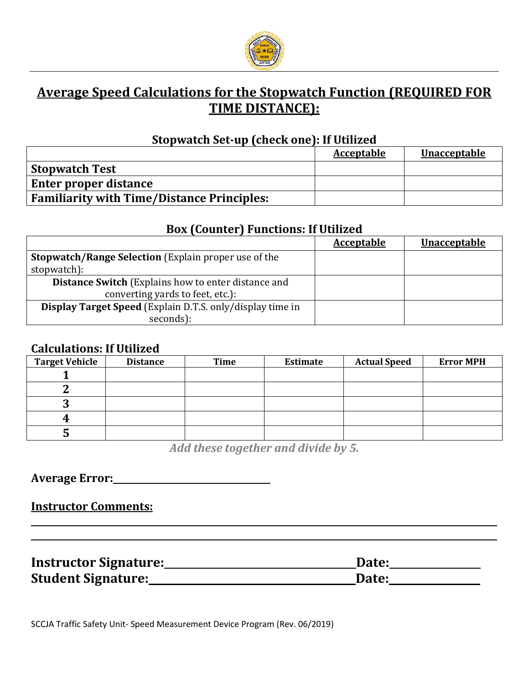

### **Average Speed Calculations for the Stopwatch Function (REQUIRED FOR TIME DISTANCE):**

#### **Stopwatch Set-up (check one): If Utilized**

|                                                   | Acceptable | <b>Unacceptable</b> |
|---------------------------------------------------|------------|---------------------|
| <b>Stopwatch Test</b>                             |            |                     |
| <b>Enter proper distance</b>                      |            |                     |
| <b>Familiarity with Time/Distance Principles:</b> |            |                     |

#### **Box (Counter) Functions: If Utilized**

|                                                             | <b>Acceptable</b> | <b>Unacceptable</b> |
|-------------------------------------------------------------|-------------------|---------------------|
| <b>Stopwatch/Range Selection</b> (Explain proper use of the |                   |                     |
| stopwatch):                                                 |                   |                     |
| <b>Distance Switch</b> (Explains how to enter distance and  |                   |                     |
| converting yards to feet, etc.):                            |                   |                     |
| Display Target Speed (Explain D.T.S. only/display time in   |                   |                     |
| seconds):                                                   |                   |                     |

#### **Calculations: If Utilized**

| <b>Target Vehicle</b> | <b>Distance</b> | Time | Estimate | <b>Actual Speed</b> | <b>Error MPH</b> |
|-----------------------|-----------------|------|----------|---------------------|------------------|
|                       |                 |      |          |                     |                  |
|                       |                 |      |          |                     |                  |
| v                     |                 |      |          |                     |                  |
|                       |                 |      |          |                     |                  |
|                       |                 |      |          |                     |                  |

*Add these together and divide by 5.*

**Average Error:** 

**Instructor Comments:**

| <b>Instructor Signature:</b> | Date: |
|------------------------------|-------|
| <b>Student Signature:</b>    | Date: |